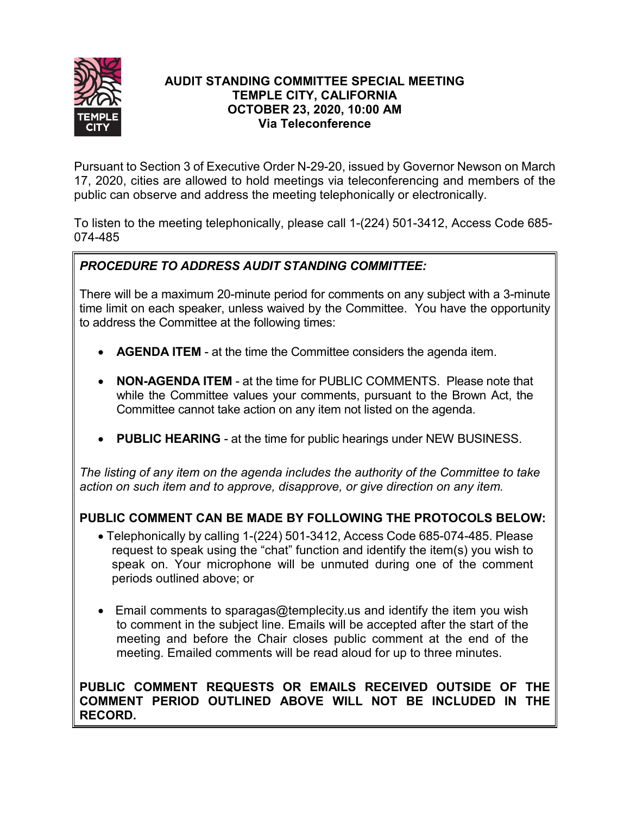

## **AUDIT STANDING COMMITTEE SPECIAL MEETING TEMPLE CITY, CALIFORNIA OCTOBER 23, 2020, 10:00 AM Via Teleconference**

Pursuant to Section 3 of Executive Order N-29-20, issued by Governor Newson on March 17, 2020, cities are allowed to hold meetings via teleconferencing and members of the public can observe and address the meeting telephonically or electronically.

To listen to the meeting telephonically, please call 1-(224) 501-3412, Access Code 685- 074-485

# *PROCEDURE TO ADDRESS AUDIT STANDING COMMITTEE:*

There will be a maximum 20-minute period for comments on any subject with a 3-minute time limit on each speaker, unless waived by the Committee. You have the opportunity to address the Committee at the following times:

- **AGENDA ITEM** at the time the Committee considers the agenda item.
- **NON-AGENDA ITEM** at the time for PUBLIC COMMENTS. Please note that while the Committee values your comments, pursuant to the Brown Act, the Committee cannot take action on any item not listed on the agenda.
- **PUBLIC HEARING** at the time for public hearings under NEW BUSINESS.

*The listing of any item on the agenda includes the authority of the Committee to take action on such item and to approve, disapprove, or give direction on any item.*

## **PUBLIC COMMENT CAN BE MADE BY FOLLOWING THE PROTOCOLS BELOW:**

- Telephonically by calling 1-(224) 501-3412, Access Code 685-074-485. Please request to speak using the "chat" function and identify the item(s) you wish to speak on. Your microphone will be unmuted during one of the comment periods outlined above; or
- Email comments to sparagas@templecity.us and identify the item you wish to comment in the subject line. Emails will be accepted after the start of the meeting and before the Chair closes public comment at the end of the meeting. Emailed comments will be read aloud for up to three minutes.

## **PUBLIC COMMENT REQUESTS OR EMAILS RECEIVED OUTSIDE OF THE COMMENT PERIOD OUTLINED ABOVE WILL NOT BE INCLUDED IN THE RECORD.**